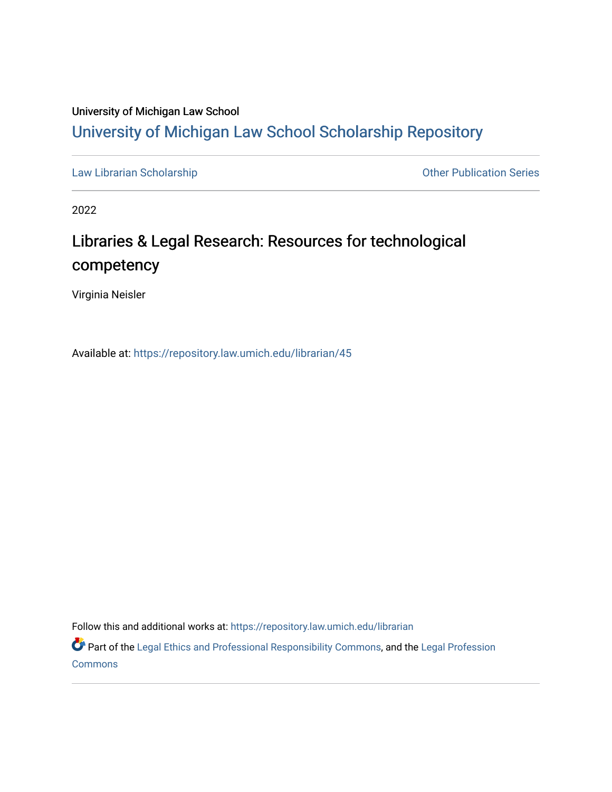### University of Michigan Law School [University of Michigan Law School Scholarship Repository](https://repository.law.umich.edu/)

[Law Librarian Scholarship](https://repository.law.umich.edu/librarian) **Containers** Containers and Other Publication Series

2022

## Libraries & Legal Research: Resources for technological competency

Virginia Neisler

Available at: <https://repository.law.umich.edu/librarian/45>

Follow this and additional works at: [https://repository.law.umich.edu/librarian](https://repository.law.umich.edu/librarian?utm_source=repository.law.umich.edu%2Flibrarian%2F45&utm_medium=PDF&utm_campaign=PDFCoverPages) 

Part of the [Legal Ethics and Professional Responsibility Commons](http://network.bepress.com/hgg/discipline/895?utm_source=repository.law.umich.edu%2Flibrarian%2F45&utm_medium=PDF&utm_campaign=PDFCoverPages), and the [Legal Profession](http://network.bepress.com/hgg/discipline/1075?utm_source=repository.law.umich.edu%2Flibrarian%2F45&utm_medium=PDF&utm_campaign=PDFCoverPages) **[Commons](http://network.bepress.com/hgg/discipline/1075?utm_source=repository.law.umich.edu%2Flibrarian%2F45&utm_medium=PDF&utm_campaign=PDFCoverPages)**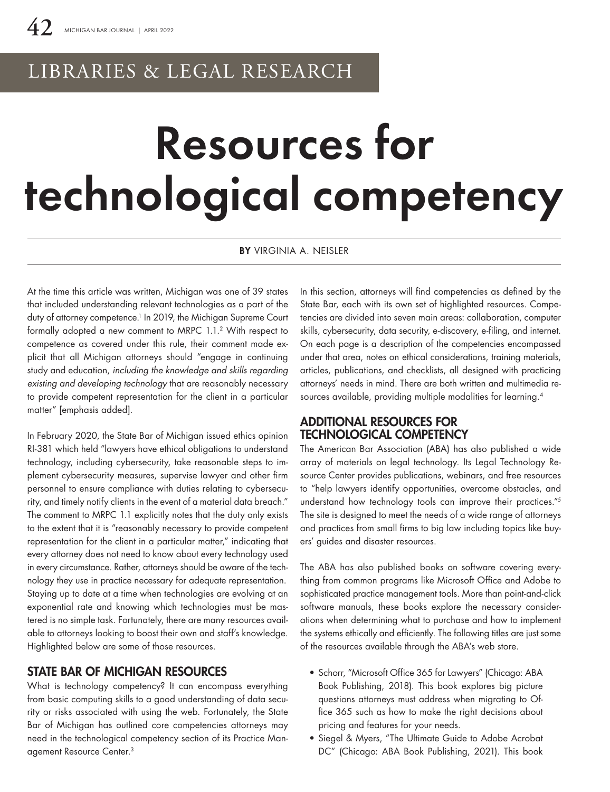## LIBRARIES & LEGAL RESEARCH

# Resources for technological competency

BY VIRGINIA A. NEISLER

At the time this article was written, Michigan was one of 39 states that included understanding relevant technologies as a part of the duty of attorney competence.<sup>1</sup> In 2019, the Michigan Supreme Court formally adopted a new comment to MRPC 1.1.2 With respect to competence as covered under this rule, their comment made explicit that all Michigan attorneys should "engage in continuing study and education, *including the knowledge and skills regarding existing and developing technology* that are reasonably necessary to provide competent representation for the client in a particular matter" [emphasis added].

In February 2020, the State Bar of Michigan issued ethics opinion RI-381 which held "lawyers have ethical obligations to understand technology, including cybersecurity, take reasonable steps to implement cybersecurity measures, supervise lawyer and other firm personnel to ensure compliance with duties relating to cybersecurity, and timely notify clients in the event of a material data breach." The comment to MRPC 1.1 explicitly notes that the duty only exists to the extent that it is "reasonably necessary to provide competent representation for the client in a particular matter," indicating that every attorney does not need to know about every technology used in every circumstance. Rather, attorneys should be aware of the technology they use in practice necessary for adequate representation. Staying up to date at a time when technologies are evolving at an exponential rate and knowing which technologies must be mastered is no simple task. Fortunately, there are many resources available to attorneys looking to boost their own and staff's knowledge. Highlighted below are some of those resources.

#### STATE BAR OF MICHIGAN RESOURCES

What is technology competency? It can encompass everything from basic computing skills to a good understanding of data security or risks associated with using the web. Fortunately, the State Bar of Michigan has outlined core competencies attorneys may need in the technological competency section of its Practice Management Resource Center.3

In this section, attorneys will find competencies as defined by the State Bar, each with its own set of highlighted resources. Competencies are divided into seven main areas: collaboration, computer skills, cybersecurity, data security, e-discovery, e-filing, and internet. On each page is a description of the competencies encompassed under that area, notes on ethical considerations, training materials, articles, publications, and checklists, all designed with practicing attorneys' needs in mind. There are both written and multimedia resources available, providing multiple modalities for learning.<sup>4</sup>

#### ADDITIONAL RESOURCES FOR TECHNOLOGICAL COMPETENCY

The American Bar Association (ABA) has also published a wide array of materials on legal technology. Its Legal Technology Resource Center provides publications, webinars, and free resources to "help lawyers identify opportunities, overcome obstacles, and understand how technology tools can improve their practices."<sup>5</sup> The site is designed to meet the needs of a wide range of attorneys and practices from small firms to big law including topics like buyers' guides and disaster resources.

The ABA has also published books on software covering everything from common programs like Microsoft Office and Adobe to sophisticated practice management tools. More than point-and-click software manuals, these books explore the necessary considerations when determining what to purchase and how to implement the systems ethically and efficiently. The following titles are just some of the resources available through the ABA's web store.

- Schorr, "Microsoft Office 365 for Lawyers" (Chicago: ABA Book Publishing, 2018). This book explores big picture questions attorneys must address when migrating to Office 365 such as how to make the right decisions about pricing and features for your needs.
- Siegel & Myers, "The Ultimate Guide to Adobe Acrobat DC" (Chicago: ABA Book Publishing, 2021). This book